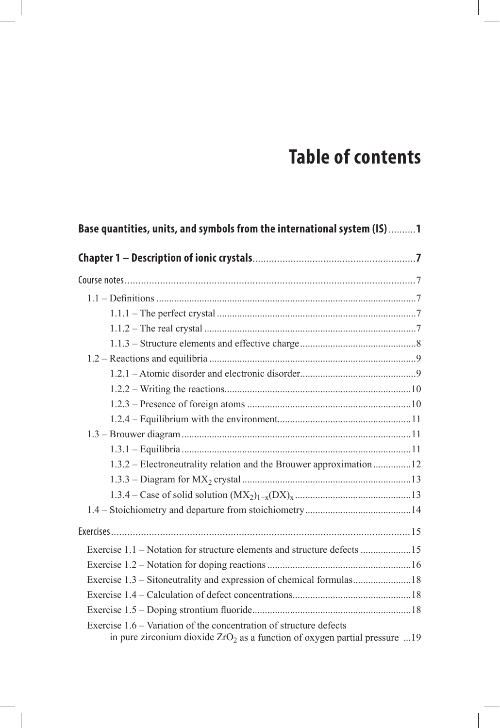## **Table of contents**

| Base quantities, units, and symbols from the international system (IS) 1                                                                           |  |
|----------------------------------------------------------------------------------------------------------------------------------------------------|--|
|                                                                                                                                                    |  |
|                                                                                                                                                    |  |
|                                                                                                                                                    |  |
|                                                                                                                                                    |  |
|                                                                                                                                                    |  |
|                                                                                                                                                    |  |
|                                                                                                                                                    |  |
|                                                                                                                                                    |  |
|                                                                                                                                                    |  |
|                                                                                                                                                    |  |
|                                                                                                                                                    |  |
|                                                                                                                                                    |  |
|                                                                                                                                                    |  |
| 1.3.2 – Electroneutrality relation and the Brouwer approximation 12                                                                                |  |
|                                                                                                                                                    |  |
|                                                                                                                                                    |  |
|                                                                                                                                                    |  |
|                                                                                                                                                    |  |
| Exercise 1.1 – Notation for structure elements and structure defects 15                                                                            |  |
|                                                                                                                                                    |  |
| Exercise 1.3 – Sitoneutrality and expression of chemical formulas18                                                                                |  |
|                                                                                                                                                    |  |
|                                                                                                                                                    |  |
| Exercise 1.6 – Variation of the concentration of structure defects<br>in pure zirconium dioxide $ZrO2$ as a function of oxygen partial pressure 19 |  |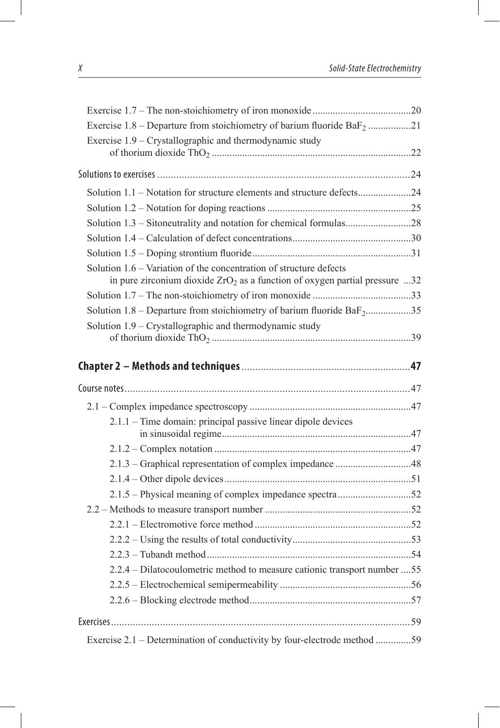| Exercise $1.8$ – Departure from stoichiometry of barium fluoride BaF <sub>2</sub> 21                                                               |  |
|----------------------------------------------------------------------------------------------------------------------------------------------------|--|
| Exercise 1.9 – Crystallographic and thermodynamic study                                                                                            |  |
|                                                                                                                                                    |  |
|                                                                                                                                                    |  |
| Solution 1.1 – Notation for structure elements and structure defects24                                                                             |  |
|                                                                                                                                                    |  |
| Solution 1.3 - Sitoneutrality and notation for chemical formulas28                                                                                 |  |
|                                                                                                                                                    |  |
|                                                                                                                                                    |  |
| Solution 1.6 – Variation of the concentration of structure defects<br>in pure zirconium dioxide $ZrO2$ as a function of oxygen partial pressure 32 |  |
|                                                                                                                                                    |  |
| Solution $1.8$ – Departure from stoichiometry of barium fluoride BaF <sub>2</sub> 35                                                               |  |
| Solution 1.9 – Crystallographic and thermodynamic study                                                                                            |  |
|                                                                                                                                                    |  |
|                                                                                                                                                    |  |
|                                                                                                                                                    |  |
| 2.1.1 – Time domain: principal passive linear dipole devices                                                                                       |  |
|                                                                                                                                                    |  |
|                                                                                                                                                    |  |
|                                                                                                                                                    |  |
|                                                                                                                                                    |  |
|                                                                                                                                                    |  |
|                                                                                                                                                    |  |
|                                                                                                                                                    |  |
|                                                                                                                                                    |  |
|                                                                                                                                                    |  |
| 2.2.4 – Dilatocoulometric method to measure cationic transport number 55                                                                           |  |
|                                                                                                                                                    |  |
|                                                                                                                                                    |  |
|                                                                                                                                                    |  |
| Exercise 2.1 – Determination of conductivity by four-electrode method 59                                                                           |  |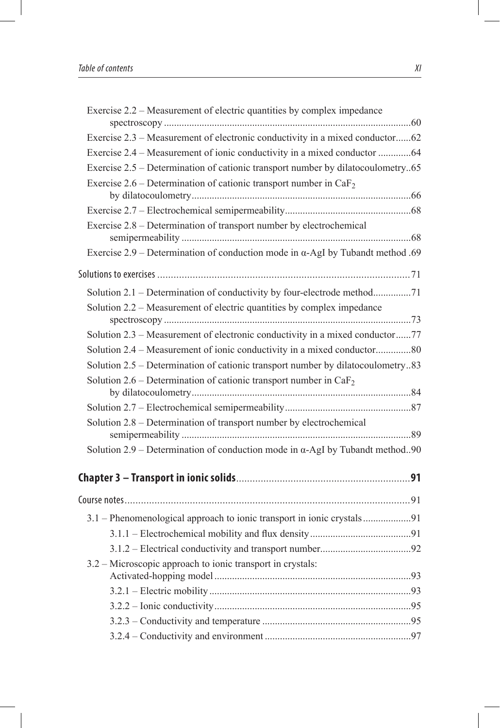| Exercise 2.2 – Measurement of electric quantities by complex impedance                   |  |
|------------------------------------------------------------------------------------------|--|
|                                                                                          |  |
| Exercise 2.3 – Measurement of electronic conductivity in a mixed conductor62             |  |
| Exercise 2.4 – Measurement of ionic conductivity in a mixed conductor 64                 |  |
| Exercise 2.5 – Determination of cationic transport number by dilatocoulometry65          |  |
| Exercise 2.6 – Determination of cationic transport number in $CaF2$                      |  |
|                                                                                          |  |
|                                                                                          |  |
| Exercise 2.8 – Determination of transport number by electrochemical                      |  |
| Exercise $2.9$ – Determination of conduction mode in $\alpha$ -AgI by Tubandt method .69 |  |
|                                                                                          |  |
| Solution 2.1 – Determination of conductivity by four-electrode method71                  |  |
| Solution 2.2 – Measurement of electric quantities by complex impedance                   |  |
|                                                                                          |  |
| Solution 2.3 – Measurement of electronic conductivity in a mixed conductor77             |  |
| Solution 2.4 – Measurement of ionic conductivity in a mixed conductor80                  |  |
| Solution 2.5 – Determination of cationic transport number by dilatocoulometry83          |  |
| Solution 2.6 – Determination of cationic transport number in $CaF2$                      |  |
|                                                                                          |  |
|                                                                                          |  |
| Solution 2.8 – Determination of transport number by electrochemical                      |  |
|                                                                                          |  |
| Solution $2.9$ – Determination of conduction mode in $\alpha$ -AgI by Tubandt method90   |  |
|                                                                                          |  |
|                                                                                          |  |
| 3.1 – Phenomenological approach to ionic transport in ionic crystals91                   |  |
|                                                                                          |  |
|                                                                                          |  |
| 3.2 – Microscopic approach to ionic transport in crystals:                               |  |
|                                                                                          |  |
|                                                                                          |  |
|                                                                                          |  |
|                                                                                          |  |
|                                                                                          |  |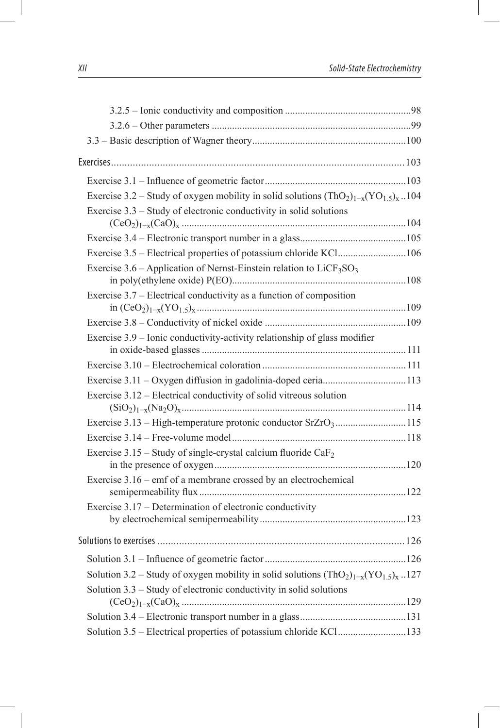| Exercise 3.2 – Study of oxygen mobility in solid solutions $(ThO2)1-x(YO1.5)x$ 104            |  |
|-----------------------------------------------------------------------------------------------|--|
| Exercise $3.3$ – Study of electronic conductivity in solid solutions                          |  |
|                                                                                               |  |
| Exercise 3.5 – Electrical properties of potassium chloride KCl106                             |  |
| Exercise $3.6$ – Application of Nernst-Einstein relation to LiCF <sub>3</sub> SO <sub>3</sub> |  |
| Exercise $3.7$ – Electrical conductivity as a function of composition                         |  |
|                                                                                               |  |
| Exercise 3.9 - Ionic conductivity-activity relationship of glass modifier                     |  |
|                                                                                               |  |
| Exercise 3.11 - Oxygen diffusion in gadolinia-doped ceria113                                  |  |
| Exercise 3.12 – Electrical conductivity of solid vitreous solution<br>$(SiO2)1-x(Na2O)x114$   |  |
|                                                                                               |  |
|                                                                                               |  |
| Exercise 3.15 – Study of single-crystal calcium fluoride $CaF2$                               |  |
| Exercise 3.16 – emf of a membrane crossed by an electrochemical                               |  |
|                                                                                               |  |
| Exercise 3.17 – Determination of electronic conductivity                                      |  |
|                                                                                               |  |
|                                                                                               |  |
| Solution 3.2 – Study of oxygen mobility in solid solutions $(ThO2)1-x(YO1.5)x$ 127            |  |
| Solution 3.3 – Study of electronic conductivity in solid solutions                            |  |
|                                                                                               |  |
|                                                                                               |  |
| Solution 3.5 – Electrical properties of potassium chloride KCl133                             |  |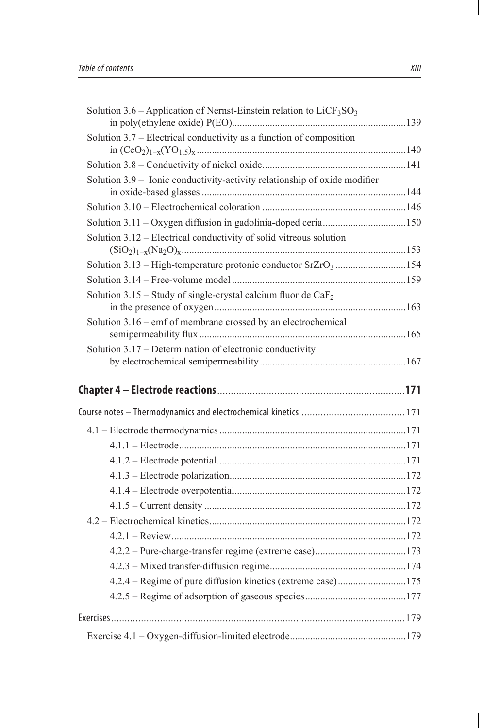| Solution 3.6 – Application of Nernst-Einstein relation to $LiCF3SO3$       |  |
|----------------------------------------------------------------------------|--|
| Solution 3.7 – Electrical conductivity as a function of composition        |  |
|                                                                            |  |
| Solution 3.9 - Ionic conductivity-activity relationship of oxide modifier  |  |
|                                                                            |  |
| Solution 3.11 - Oxygen diffusion in gadolinia-doped ceria150               |  |
| Solution 3.12 – Electrical conductivity of solid vitreous solution         |  |
| Solution 3.13 - High-temperature protonic conductor SrZrO <sub>3</sub> 154 |  |
|                                                                            |  |
| Solution 3.15 – Study of single-crystal calcium fluoride $CaF2$            |  |
| Solution $3.16$ – emf of membrane crossed by an electrochemical            |  |
| Solution 3.17 – Determination of electronic conductivity                   |  |
|                                                                            |  |
|                                                                            |  |
|                                                                            |  |
|                                                                            |  |
|                                                                            |  |
|                                                                            |  |
|                                                                            |  |
|                                                                            |  |
|                                                                            |  |
|                                                                            |  |
|                                                                            |  |
|                                                                            |  |
|                                                                            |  |
| 4.2.4 – Regime of pure diffusion kinetics (extreme case)175                |  |
|                                                                            |  |
|                                                                            |  |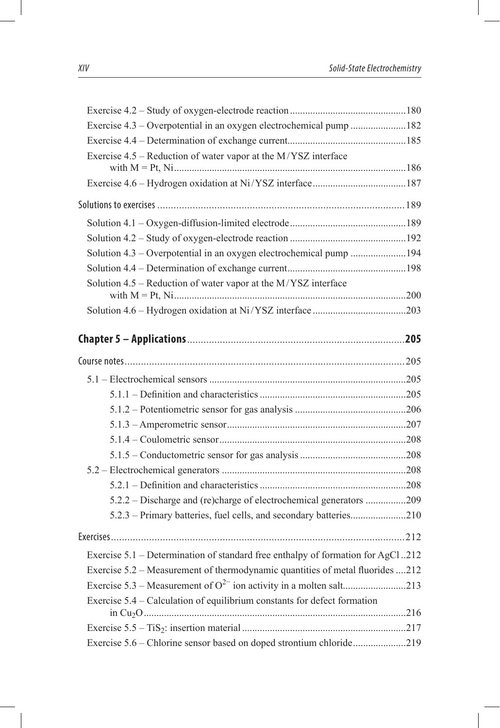| Exercise 4.3 – Overpotential in an oxygen electrochemical pump 182              |  |
|---------------------------------------------------------------------------------|--|
|                                                                                 |  |
| Exercise 4.5 – Reduction of water vapor at the M/YSZ interface                  |  |
|                                                                                 |  |
|                                                                                 |  |
|                                                                                 |  |
|                                                                                 |  |
| Solution 4.3 – Overpotential in an oxygen electrochemical pump 194              |  |
|                                                                                 |  |
| Solution 4.5 – Reduction of water vapor at the M/YSZ interface                  |  |
|                                                                                 |  |
|                                                                                 |  |
|                                                                                 |  |
|                                                                                 |  |
|                                                                                 |  |
|                                                                                 |  |
|                                                                                 |  |
|                                                                                 |  |
|                                                                                 |  |
|                                                                                 |  |
|                                                                                 |  |
|                                                                                 |  |
|                                                                                 |  |
| 5.2.2 – Discharge and (re)charge of electrochemical generators 209              |  |
| 5.2.3 – Primary batteries, fuel cells, and secondary batteries210               |  |
|                                                                                 |  |
| Exercise 5.1 – Determination of standard free enthalpy of formation for AgCl212 |  |
| Exercise 5.2 – Measurement of thermodynamic quantities of metal fluorides 212   |  |
|                                                                                 |  |
| Exercise 5.4 – Calculation of equilibrium constants for defect formation        |  |
|                                                                                 |  |
|                                                                                 |  |
| Exercise 5.6 – Chlorine sensor based on doped strontium chloride219             |  |